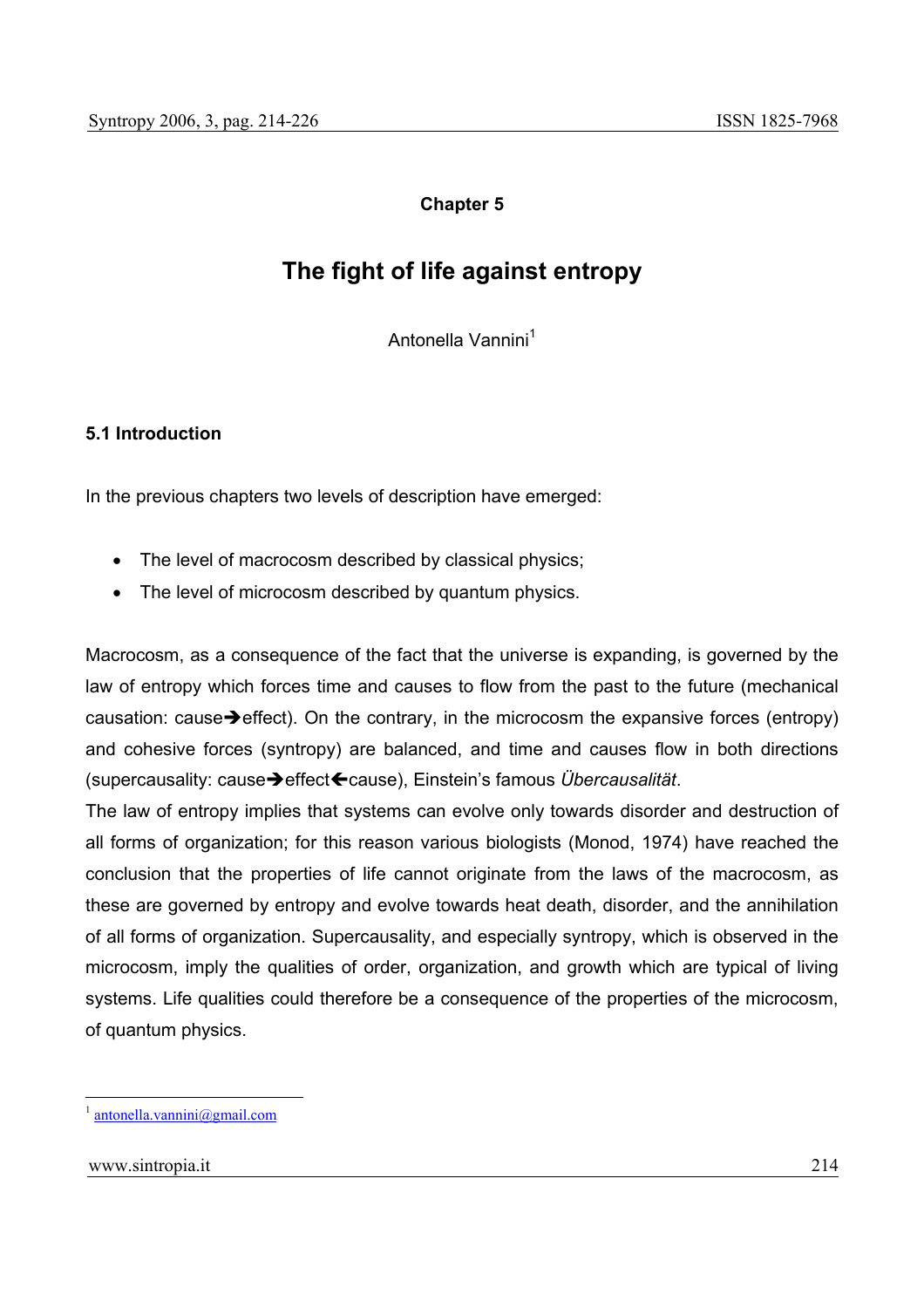# **Chapter 5**

# **The fight of life against entropy**

Antonella Vannini<sup>1</sup>

## **5.1 Introduction**

In the previous chapters two levels of description have emerged:

- The level of macrocosm described by classical physics;
- The level of microcosm described by quantum physics.

Macrocosm, as a consequence of the fact that the universe is expanding, is governed by the law of entropy which forces time and causes to flow from the past to the future (mechanical causation: cause $\rightarrow$  effect). On the contrary, in the microcosm the expansive forces (entropy) and cohesive forces (syntropy) are balanced, and time and causes flow in both directions (supercausality: causeÎeffectÍcause), Einstein's famous *Übercausalität*.

The law of entropy implies that systems can evolve only towards disorder and destruction of all forms of organization; for this reason various biologists (Monod, 1974) have reached the conclusion that the properties of life cannot originate from the laws of the macrocosm, as these are governed by entropy and evolve towards heat death, disorder, and the annihilation of all forms of organization. Supercausality, and especially syntropy, which is observed in the microcosm, imply the qualities of order, organization, and growth which are typical of living systems. Life qualities could therefore be a consequence of the properties of the microcosm, of quantum physics.

 $antonella.vannini@gmail.com$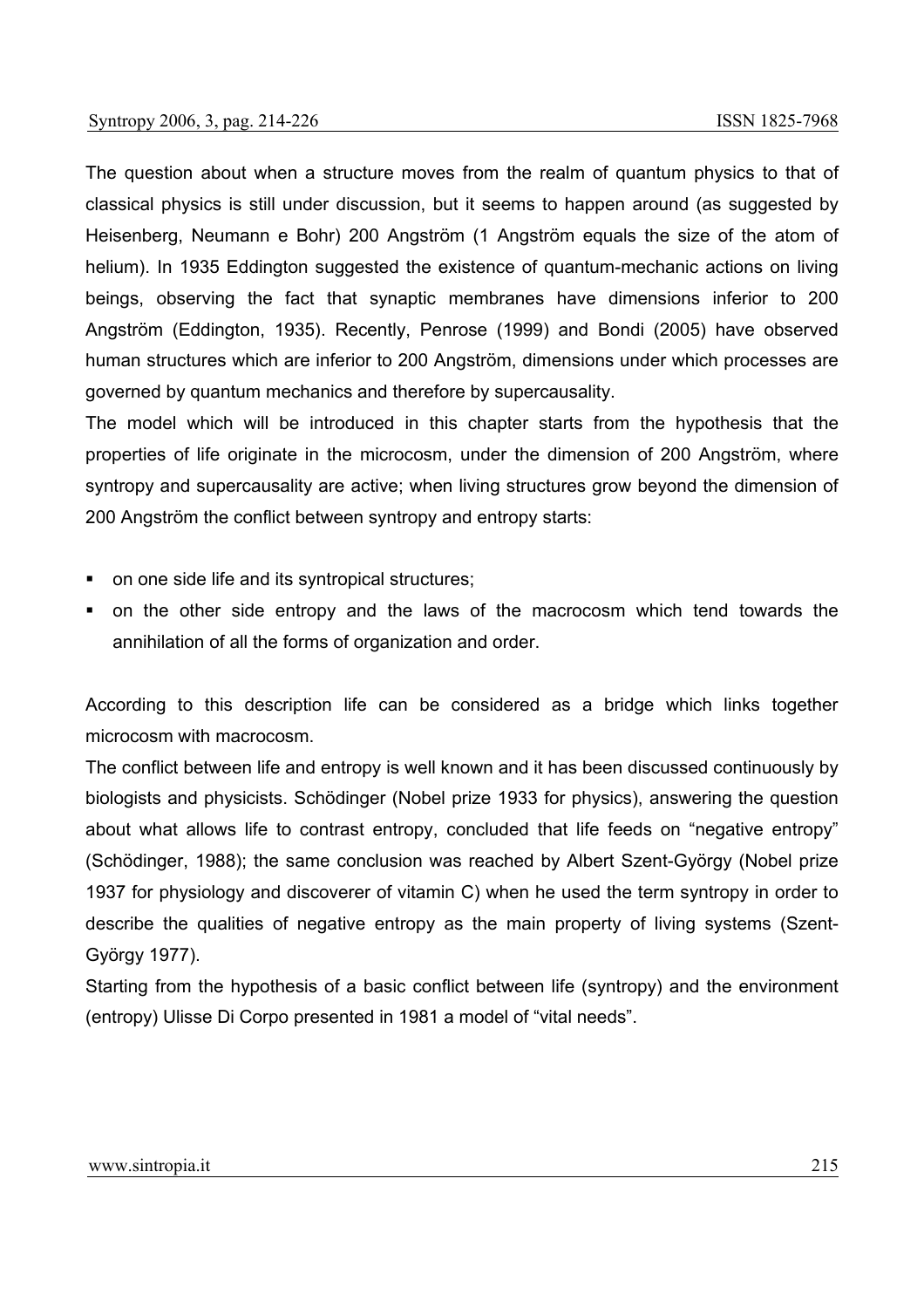The question about when a structure moves from the realm of quantum physics to that of classical physics is still under discussion, but it seems to happen around (as suggested by Heisenberg, Neumann e Bohr) 200 Angström (1 Angström equals the size of the atom of helium). In 1935 Eddington suggested the existence of quantum-mechanic actions on living beings, observing the fact that synaptic membranes have dimensions inferior to 200 Angström (Eddington, 1935). Recently, Penrose (1999) and Bondi (2005) have observed human structures which are inferior to 200 Angström, dimensions under which processes are governed by quantum mechanics and therefore by supercausality.

The model which will be introduced in this chapter starts from the hypothesis that the properties of life originate in the microcosm, under the dimension of 200 Angström, where syntropy and supercausality are active; when living structures grow beyond the dimension of 200 Angström the conflict between syntropy and entropy starts:

- on one side life and its syntropical structures;
- on the other side entropy and the laws of the macrocosm which tend towards the annihilation of all the forms of organization and order.

According to this description life can be considered as a bridge which links together microcosm with macrocosm.

The conflict between life and entropy is well known and it has been discussed continuously by biologists and physicists. Schödinger (Nobel prize 1933 for physics), answering the question about what allows life to contrast entropy, concluded that life feeds on "negative entropy" (Schödinger, 1988); the same conclusion was reached by Albert Szent-György (Nobel prize 1937 for physiology and discoverer of vitamin C) when he used the term syntropy in order to describe the qualities of negative entropy as the main property of living systems (Szent-György 1977).

Starting from the hypothesis of a basic conflict between life (syntropy) and the environment (entropy) Ulisse Di Corpo presented in 1981 a model of "vital needs".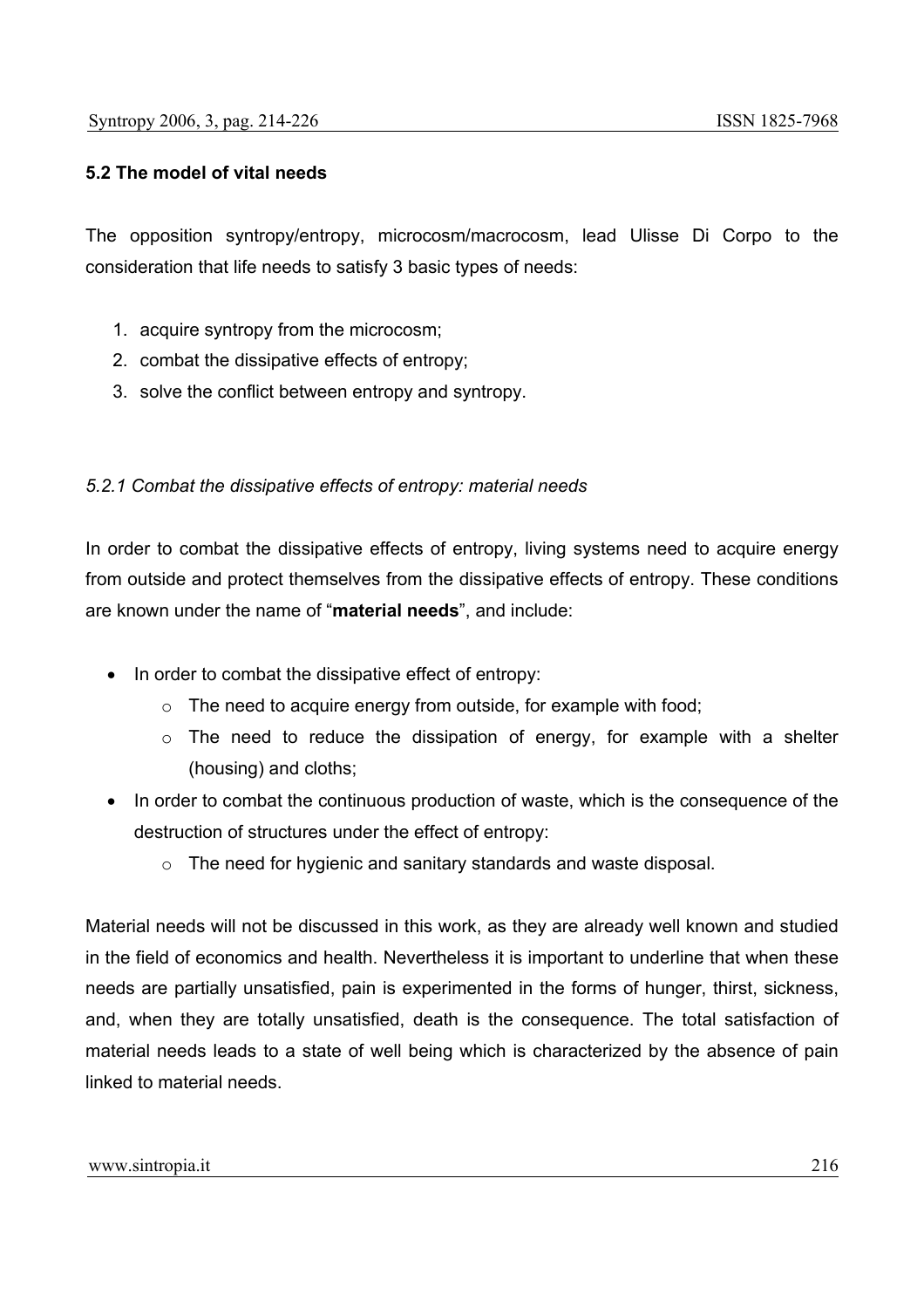## **5.2 The model of vital needs**

The opposition syntropy/entropy, microcosm/macrocosm, lead Ulisse Di Corpo to the consideration that life needs to satisfy 3 basic types of needs:

- 1. acquire syntropy from the microcosm;
- 2. combat the dissipative effects of entropy;
- 3. solve the conflict between entropy and syntropy.

#### *5.2.1 Combat the dissipative effects of entropy: material needs*

In order to combat the dissipative effects of entropy, living systems need to acquire energy from outside and protect themselves from the dissipative effects of entropy. These conditions are known under the name of "**material needs**", and include:

- In order to combat the dissipative effect of entropy:
	- $\circ$  The need to acquire energy from outside, for example with food;
	- $\circ$  The need to reduce the dissipation of energy, for example with a shelter (housing) and cloths;
- In order to combat the continuous production of waste, which is the consequence of the destruction of structures under the effect of entropy:
	- o The need for hygienic and sanitary standards and waste disposal.

Material needs will not be discussed in this work, as they are already well known and studied in the field of economics and health. Nevertheless it is important to underline that when these needs are partially unsatisfied, pain is experimented in the forms of hunger, thirst, sickness, and, when they are totally unsatisfied, death is the consequence. The total satisfaction of material needs leads to a state of well being which is characterized by the absence of pain linked to material needs.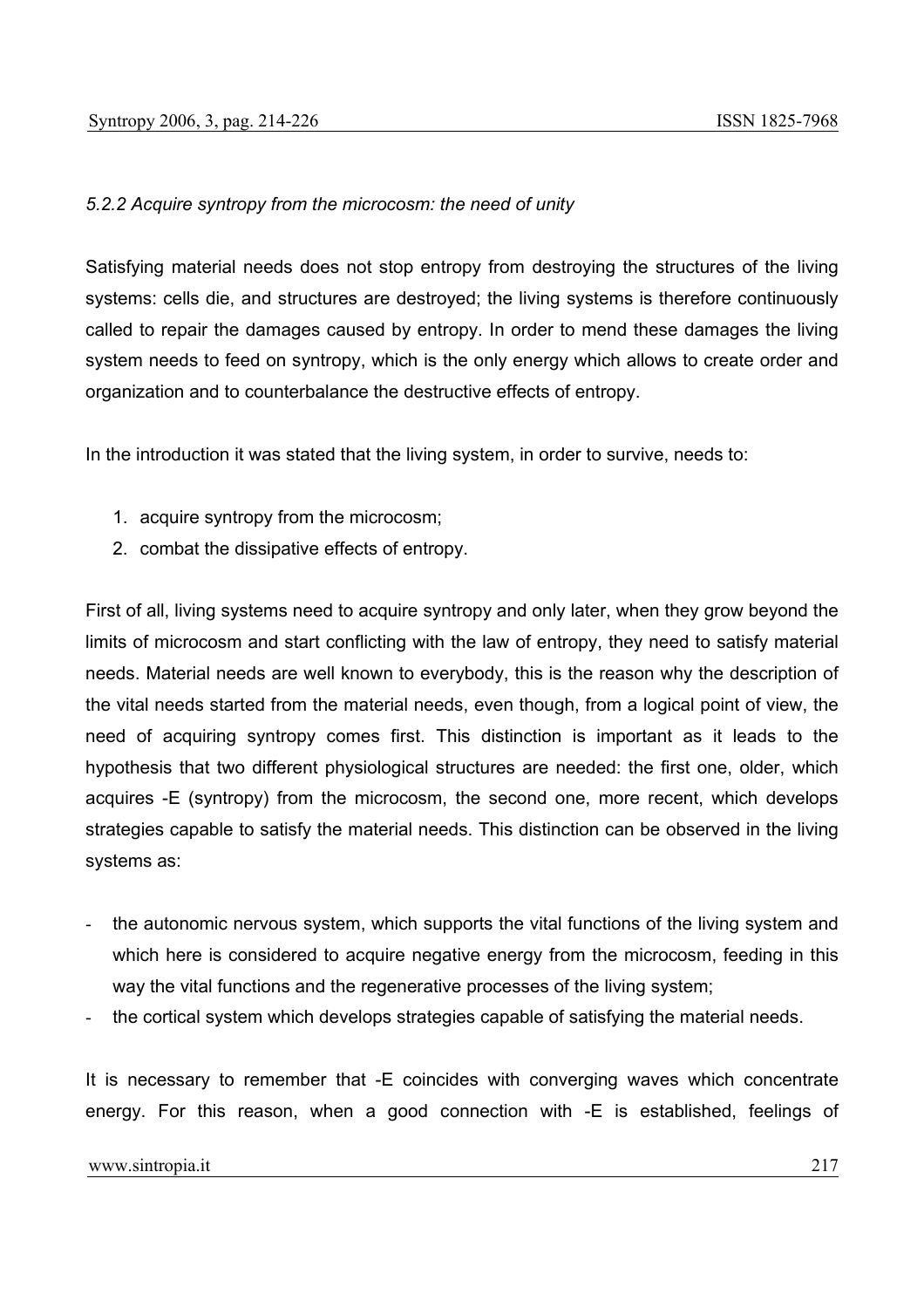# *5.2.2 Acquire syntropy from the microcosm: the need of unity*

Satisfying material needs does not stop entropy from destroying the structures of the living systems: cells die, and structures are destroyed; the living systems is therefore continuously called to repair the damages caused by entropy. In order to mend these damages the living system needs to feed on syntropy, which is the only energy which allows to create order and organization and to counterbalance the destructive effects of entropy.

In the introduction it was stated that the living system, in order to survive, needs to:

- 1. acquire syntropy from the microcosm;
- 2. combat the dissipative effects of entropy.

First of all, living systems need to acquire syntropy and only later, when they grow beyond the limits of microcosm and start conflicting with the law of entropy, they need to satisfy material needs. Material needs are well known to everybody, this is the reason why the description of the vital needs started from the material needs, even though, from a logical point of view, the need of acquiring syntropy comes first. This distinction is important as it leads to the hypothesis that two different physiological structures are needed: the first one, older, which acquires -E (syntropy) from the microcosm, the second one, more recent, which develops strategies capable to satisfy the material needs. This distinction can be observed in the living systems as:

- the autonomic nervous system, which supports the vital functions of the living system and which here is considered to acquire negative energy from the microcosm, feeding in this way the vital functions and the regenerative processes of the living system;
- the cortical system which develops strategies capable of satisfying the material needs.

It is necessary to remember that -E coincides with converging waves which concentrate energy. For this reason, when a good connection with -E is established, feelings of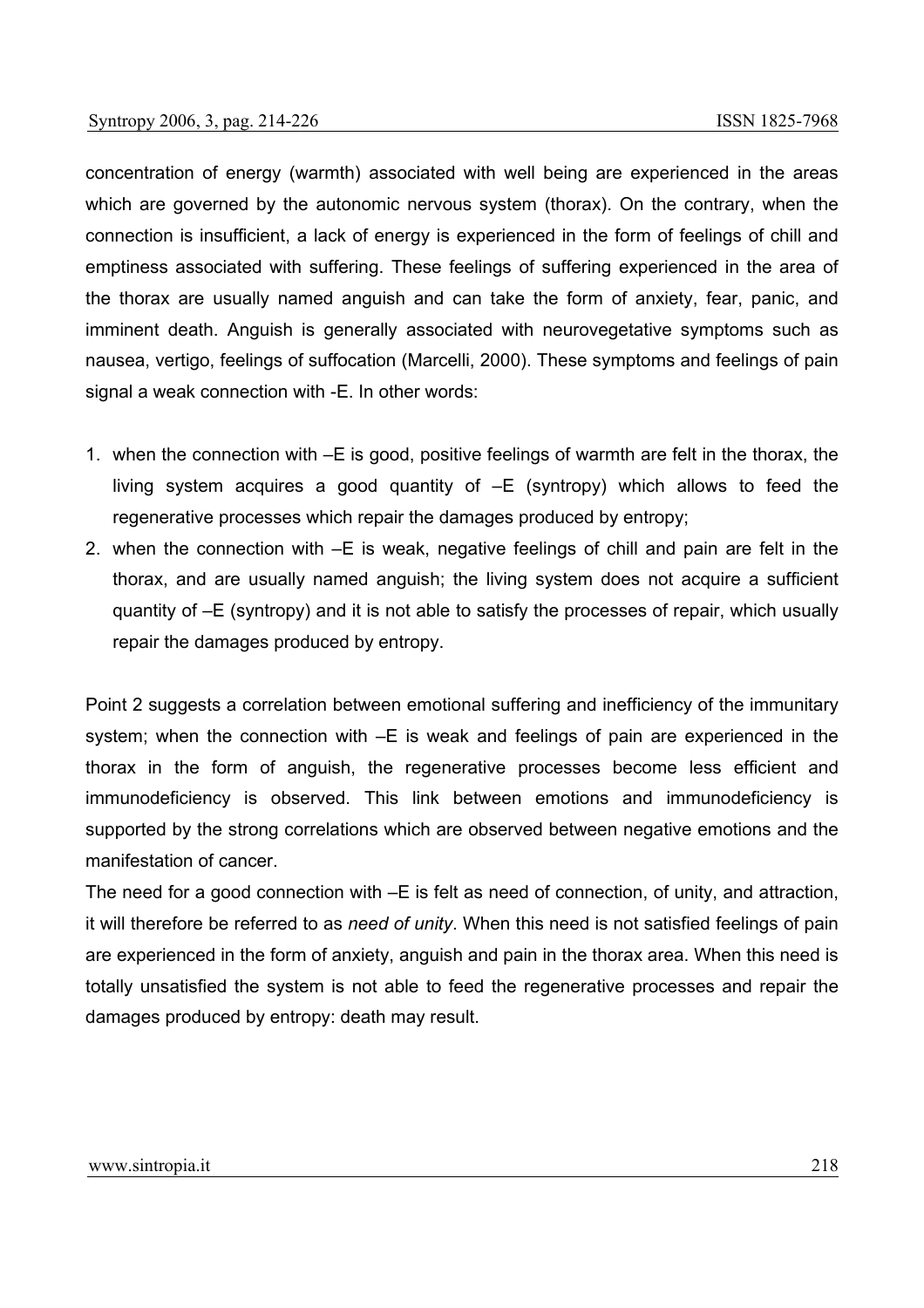concentration of energy (warmth) associated with well being are experienced in the areas which are governed by the autonomic nervous system (thorax). On the contrary, when the connection is insufficient, a lack of energy is experienced in the form of feelings of chill and emptiness associated with suffering. These feelings of suffering experienced in the area of the thorax are usually named anguish and can take the form of anxiety, fear, panic, and imminent death. Anguish is generally associated with neurovegetative symptoms such as nausea, vertigo, feelings of suffocation (Marcelli, 2000). These symptoms and feelings of pain signal a weak connection with -E. In other words:

- 1. when the connection with –E is good, positive feelings of warmth are felt in the thorax, the living system acquires a good quantity of –E (syntropy) which allows to feed the regenerative processes which repair the damages produced by entropy;
- 2. when the connection with –E is weak, negative feelings of chill and pain are felt in the thorax, and are usually named anguish; the living system does not acquire a sufficient quantity of –E (syntropy) and it is not able to satisfy the processes of repair, which usually repair the damages produced by entropy.

Point 2 suggests a correlation between emotional suffering and inefficiency of the immunitary system; when the connection with –E is weak and feelings of pain are experienced in the thorax in the form of anguish, the regenerative processes become less efficient and immunodeficiency is observed. This link between emotions and immunodeficiency is supported by the strong correlations which are observed between negative emotions and the manifestation of cancer.

The need for a good connection with –E is felt as need of connection, of unity, and attraction, it will therefore be referred to as *need of unity*. When this need is not satisfied feelings of pain are experienced in the form of anxiety, anguish and pain in the thorax area. When this need is totally unsatisfied the system is not able to feed the regenerative processes and repair the damages produced by entropy: death may result.

#### www.sintropia.it 218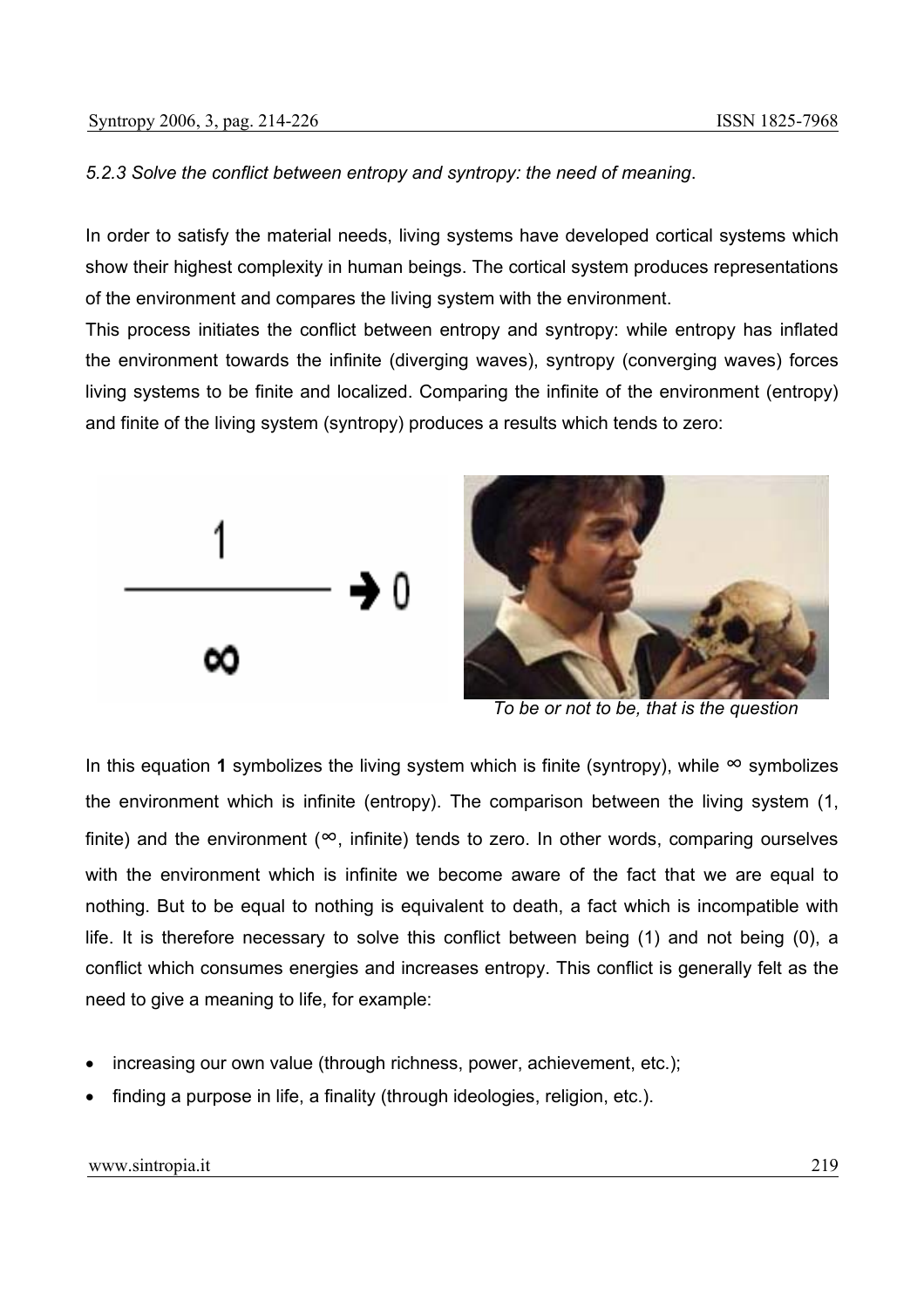# *5.2.3 Solve the conflict between entropy and syntropy: the need of meaning*.

In order to satisfy the material needs, living systems have developed cortical systems which show their highest complexity in human beings. The cortical system produces representations of the environment and compares the living system with the environment.

This process initiates the conflict between entropy and syntropy: while entropy has inflated the environment towards the infinite (diverging waves), syntropy (converging waves) forces living systems to be finite and localized. Comparing the infinite of the environment (entropy) and finite of the living system (syntropy) produces a results which tends to zero:



*To be or not to be, that is the question*

In this equation 1 symbolizes the living system which is finite (syntropy), while ∞ symbolizes the environment which is infinite (entropy). The comparison between the living system (1, finite) and the environment ( $\infty$ , infinite) tends to zero. In other words, comparing ourselves with the environment which is infinite we become aware of the fact that we are equal to nothing. But to be equal to nothing is equivalent to death, a fact which is incompatible with life. It is therefore necessary to solve this conflict between being (1) and not being (0), a conflict which consumes energies and increases entropy. This conflict is generally felt as the need to give a meaning to life, for example:

- increasing our own value (through richness, power, achievement, etc.);
- finding a purpose in life, a finality (through ideologies, religion, etc.).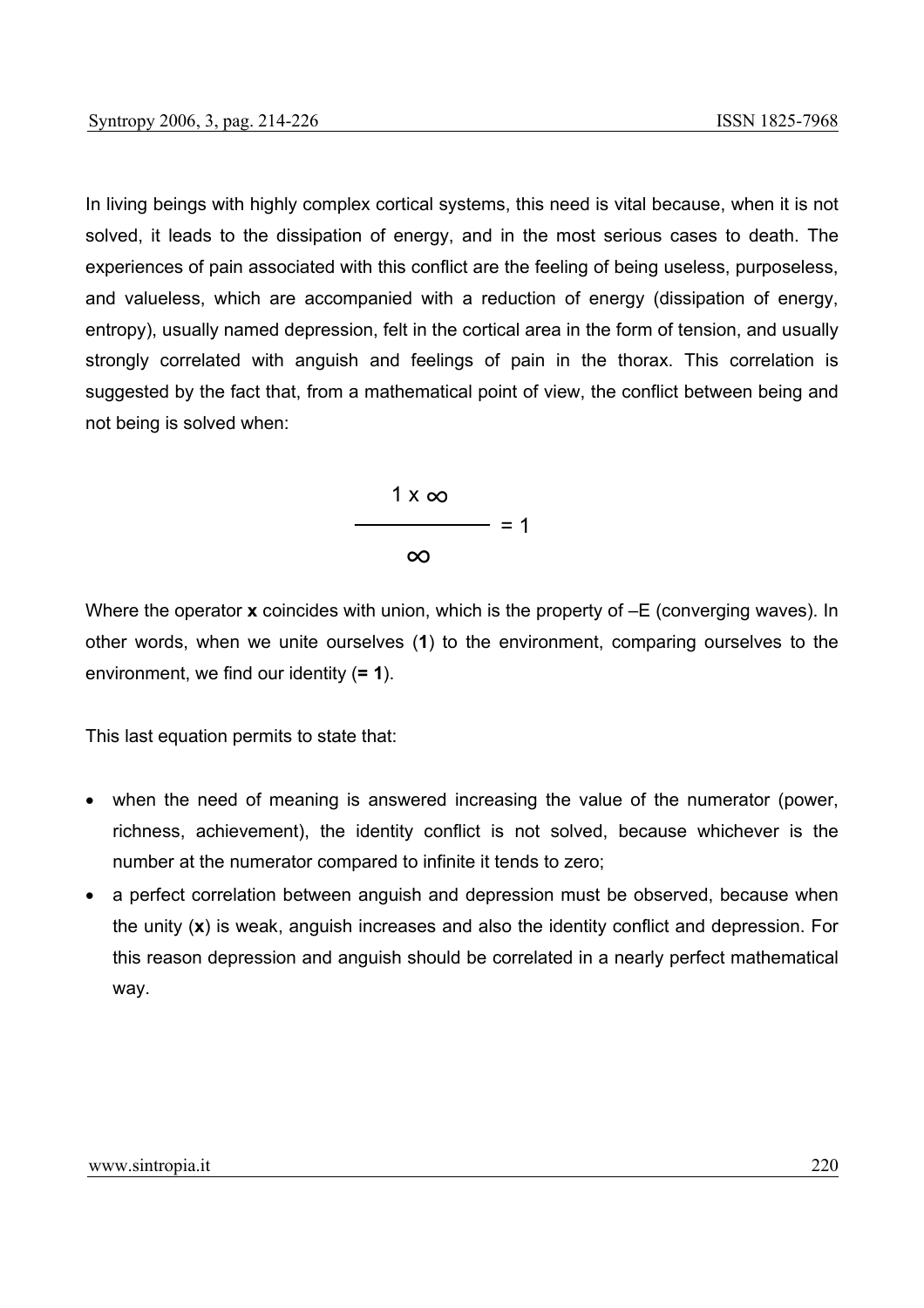In living beings with highly complex cortical systems, this need is vital because, when it is not solved, it leads to the dissipation of energy, and in the most serious cases to death. The experiences of pain associated with this conflict are the feeling of being useless, purposeless, and valueless, which are accompanied with a reduction of energy (dissipation of energy, entropy), usually named depression, felt in the cortical area in the form of tension, and usually strongly correlated with anguish and feelings of pain in the thorax. This correlation is suggested by the fact that, from a mathematical point of view, the conflict between being and not being is solved when:



Where the operator **x** coincides with union, which is the property of  $-E$  (converging waves). In other words, when we unite ourselves (**1**) to the environment, comparing ourselves to the environment, we find our identity (**= 1**).

This last equation permits to state that:

- when the need of meaning is answered increasing the value of the numerator (power, richness, achievement), the identity conflict is not solved, because whichever is the number at the numerator compared to infinite it tends to zero;
- a perfect correlation between anguish and depression must be observed, because when the unity (**x**) is weak, anguish increases and also the identity conflict and depression. For this reason depression and anguish should be correlated in a nearly perfect mathematical way.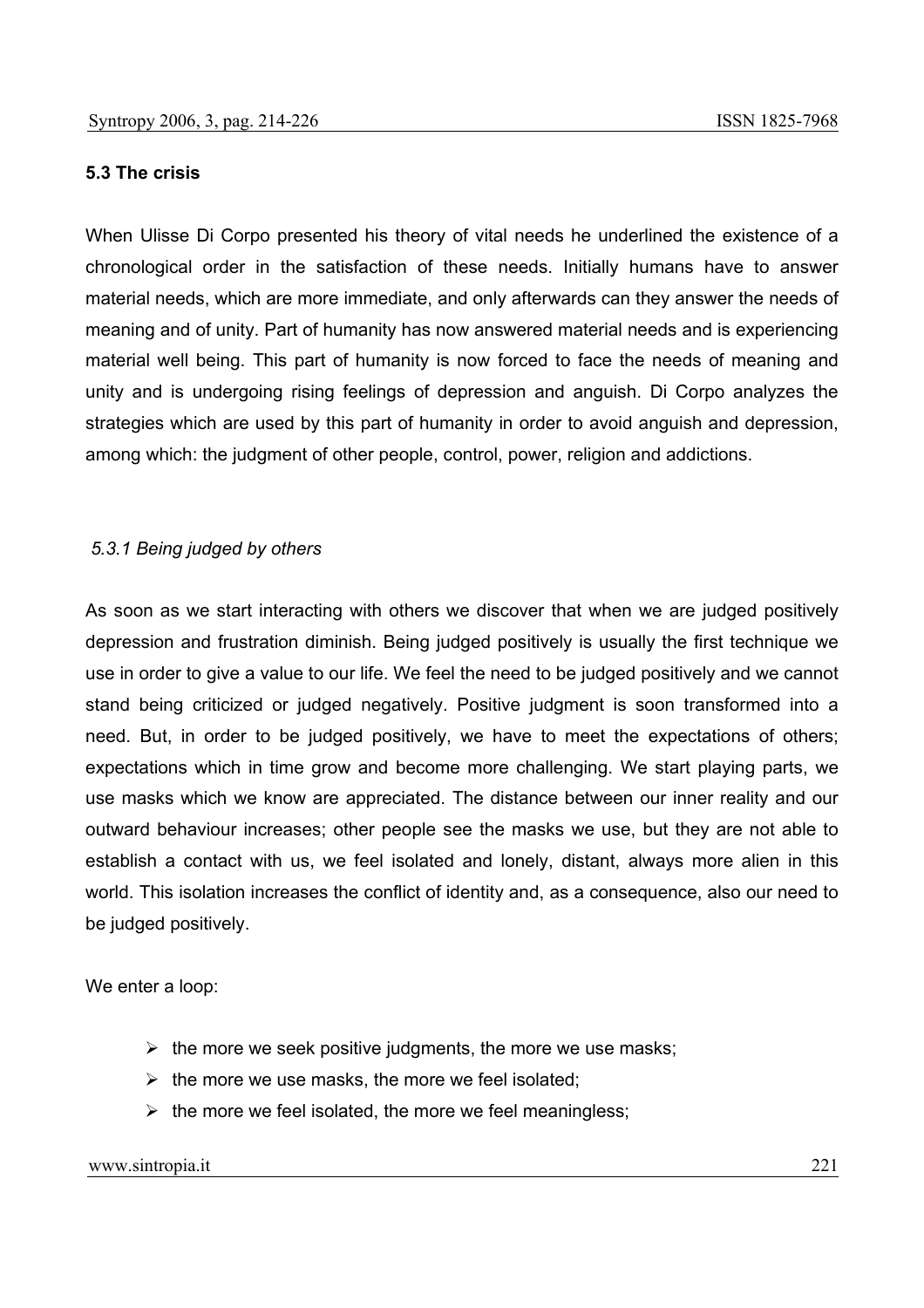### **5.3 The crisis**

When Ulisse Di Corpo presented his theory of vital needs he underlined the existence of a chronological order in the satisfaction of these needs. Initially humans have to answer material needs, which are more immediate, and only afterwards can they answer the needs of meaning and of unity. Part of humanity has now answered material needs and is experiencing material well being. This part of humanity is now forced to face the needs of meaning and unity and is undergoing rising feelings of depression and anguish. Di Corpo analyzes the strategies which are used by this part of humanity in order to avoid anguish and depression, among which: the judgment of other people, control, power, religion and addictions.

### *5.3.1 Being judged by others*

As soon as we start interacting with others we discover that when we are judged positively depression and frustration diminish. Being judged positively is usually the first technique we use in order to give a value to our life. We feel the need to be judged positively and we cannot stand being criticized or judged negatively. Positive judgment is soon transformed into a need. But, in order to be judged positively, we have to meet the expectations of others; expectations which in time grow and become more challenging. We start playing parts, we use masks which we know are appreciated. The distance between our inner reality and our outward behaviour increases; other people see the masks we use, but they are not able to establish a contact with us, we feel isolated and lonely, distant, always more alien in this world. This isolation increases the conflict of identity and, as a consequence, also our need to be judged positively.

We enter a loop:

- $\triangleright$  the more we seek positive judgments, the more we use masks;
- $\triangleright$  the more we use masks, the more we feel isolated:
- $\triangleright$  the more we feel isolated, the more we feel meaningless;

#### www.sintropia.it 221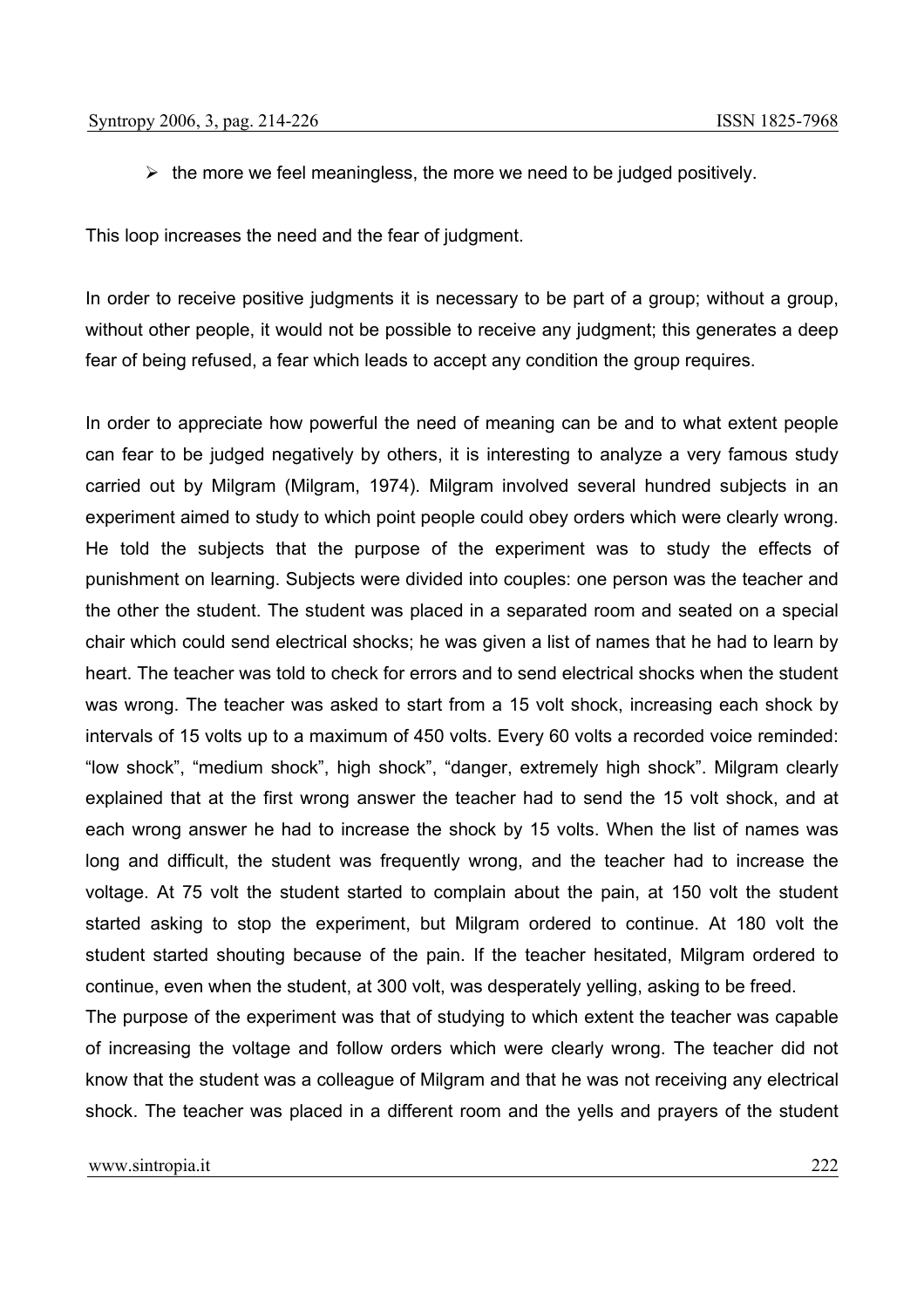$\triangleright$  the more we feel meaningless, the more we need to be judged positively.

This loop increases the need and the fear of judgment.

In order to receive positive judgments it is necessary to be part of a group; without a group, without other people, it would not be possible to receive any judgment; this generates a deep fear of being refused, a fear which leads to accept any condition the group requires.

In order to appreciate how powerful the need of meaning can be and to what extent people can fear to be judged negatively by others, it is interesting to analyze a very famous study carried out by Milgram (Milgram, 1974). Milgram involved several hundred subjects in an experiment aimed to study to which point people could obey orders which were clearly wrong. He told the subjects that the purpose of the experiment was to study the effects of punishment on learning. Subjects were divided into couples: one person was the teacher and the other the student. The student was placed in a separated room and seated on a special chair which could send electrical shocks; he was given a list of names that he had to learn by heart. The teacher was told to check for errors and to send electrical shocks when the student was wrong. The teacher was asked to start from a 15 volt shock, increasing each shock by intervals of 15 volts up to a maximum of 450 volts. Every 60 volts a recorded voice reminded: "low shock", "medium shock", high shock", "danger, extremely high shock". Milgram clearly explained that at the first wrong answer the teacher had to send the 15 volt shock, and at each wrong answer he had to increase the shock by 15 volts. When the list of names was long and difficult, the student was frequently wrong, and the teacher had to increase the voltage. At 75 volt the student started to complain about the pain, at 150 volt the student started asking to stop the experiment, but Milgram ordered to continue. At 180 volt the student started shouting because of the pain. If the teacher hesitated, Milgram ordered to continue, even when the student, at 300 volt, was desperately yelling, asking to be freed.

The purpose of the experiment was that of studying to which extent the teacher was capable of increasing the voltage and follow orders which were clearly wrong. The teacher did not know that the student was a colleague of Milgram and that he was not receiving any electrical shock. The teacher was placed in a different room and the yells and prayers of the student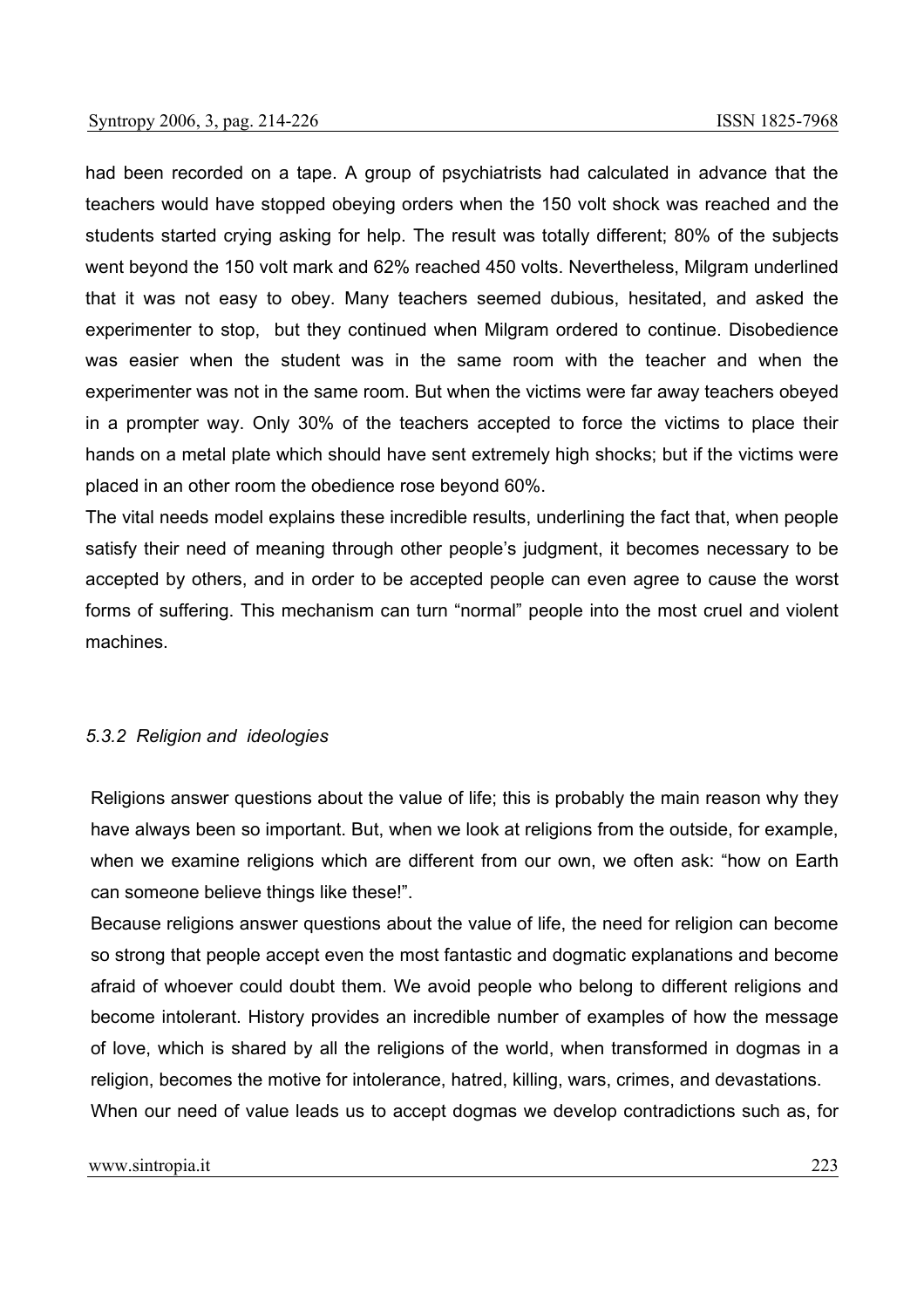had been recorded on a tape. A group of psychiatrists had calculated in advance that the teachers would have stopped obeying orders when the 150 volt shock was reached and the students started crying asking for help. The result was totally different; 80% of the subjects went beyond the 150 volt mark and 62% reached 450 volts. Nevertheless, Milgram underlined that it was not easy to obey. Many teachers seemed dubious, hesitated, and asked the experimenter to stop, but they continued when Milgram ordered to continue. Disobedience was easier when the student was in the same room with the teacher and when the experimenter was not in the same room. But when the victims were far away teachers obeyed in a prompter way. Only 30% of the teachers accepted to force the victims to place their hands on a metal plate which should have sent extremely high shocks; but if the victims were placed in an other room the obedience rose beyond 60%.

The vital needs model explains these incredible results, underlining the fact that, when people satisfy their need of meaning through other people's judgment, it becomes necessary to be accepted by others, and in order to be accepted people can even agree to cause the worst forms of suffering. This mechanism can turn "normal" people into the most cruel and violent machines.

#### *5.3.2 Religion and ideologies*

Religions answer questions about the value of life; this is probably the main reason why they have always been so important. But, when we look at religions from the outside, for example, when we examine religions which are different from our own, we often ask: "how on Earth can someone believe things like these!".

Because religions answer questions about the value of life, the need for religion can become so strong that people accept even the most fantastic and dogmatic explanations and become afraid of whoever could doubt them. We avoid people who belong to different religions and become intolerant. History provides an incredible number of examples of how the message of love, which is shared by all the religions of the world, when transformed in dogmas in a religion, becomes the motive for intolerance, hatred, killing, wars, crimes, and devastations. When our need of value leads us to accept dogmas we develop contradictions such as, for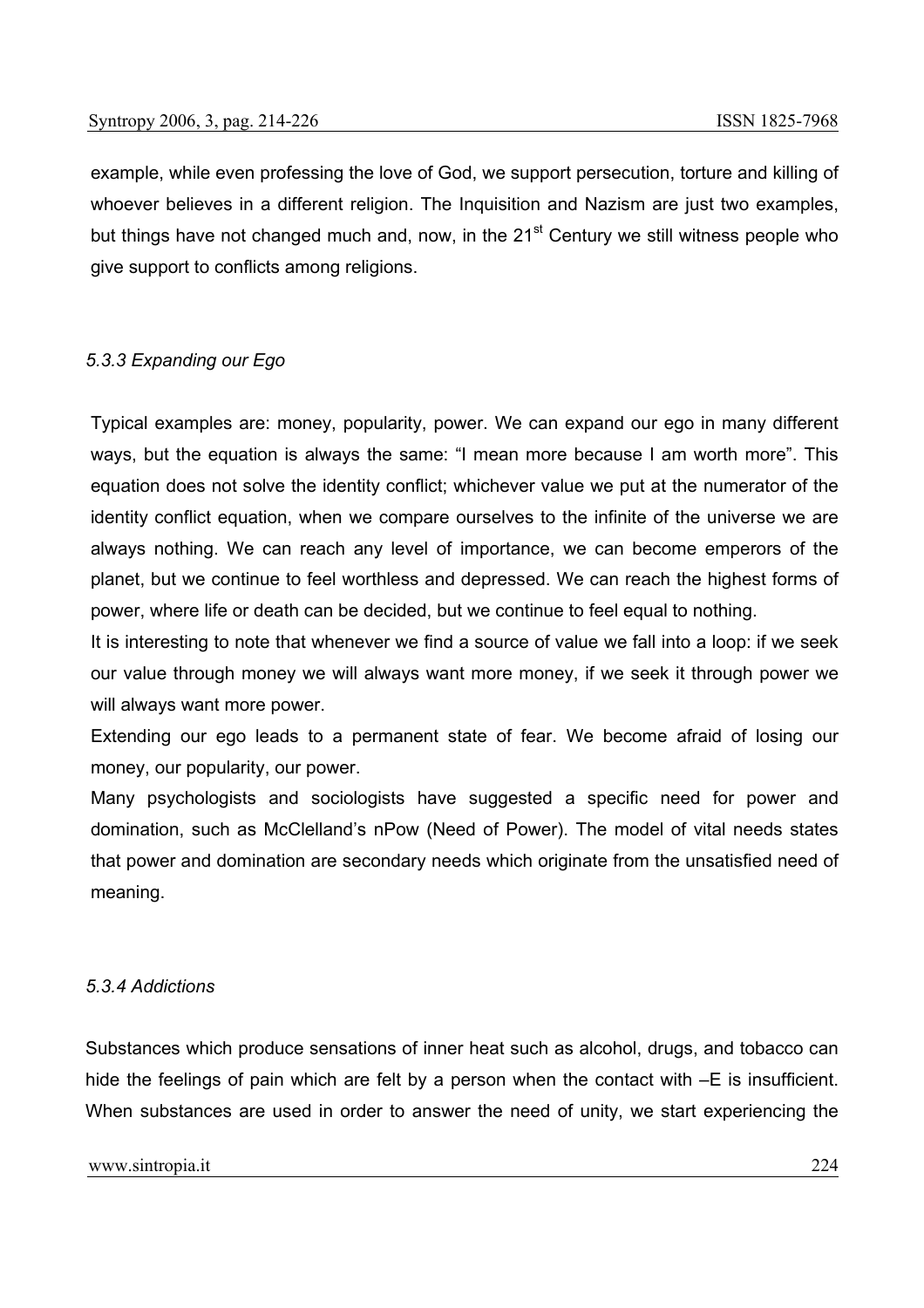example, while even professing the love of God, we support persecution, torture and killing of whoever believes in a different religion. The Inquisition and Nazism are just two examples, but things have not changed much and, now, in the  $21<sup>st</sup>$  Century we still witness people who give support to conflicts among religions.

### *5.3.3 Expanding our Ego*

Typical examples are: money, popularity, power. We can expand our ego in many different ways, but the equation is always the same: "I mean more because I am worth more". This equation does not solve the identity conflict; whichever value we put at the numerator of the identity conflict equation, when we compare ourselves to the infinite of the universe we are always nothing. We can reach any level of importance, we can become emperors of the planet, but we continue to feel worthless and depressed. We can reach the highest forms of power, where life or death can be decided, but we continue to feel equal to nothing.

It is interesting to note that whenever we find a source of value we fall into a loop: if we seek our value through money we will always want more money, if we seek it through power we will always want more power.

Extending our ego leads to a permanent state of fear. We become afraid of losing our money, our popularity, our power.

Many psychologists and sociologists have suggested a specific need for power and domination, such as McClelland's nPow (Need of Power). The model of vital needs states that power and domination are secondary needs which originate from the unsatisfied need of meaning.

#### *5.3.4 Addictions*

Substances which produce sensations of inner heat such as alcohol, drugs, and tobacco can hide the feelings of pain which are felt by a person when the contact with  $-E$  is insufficient. When substances are used in order to answer the need of unity, we start experiencing the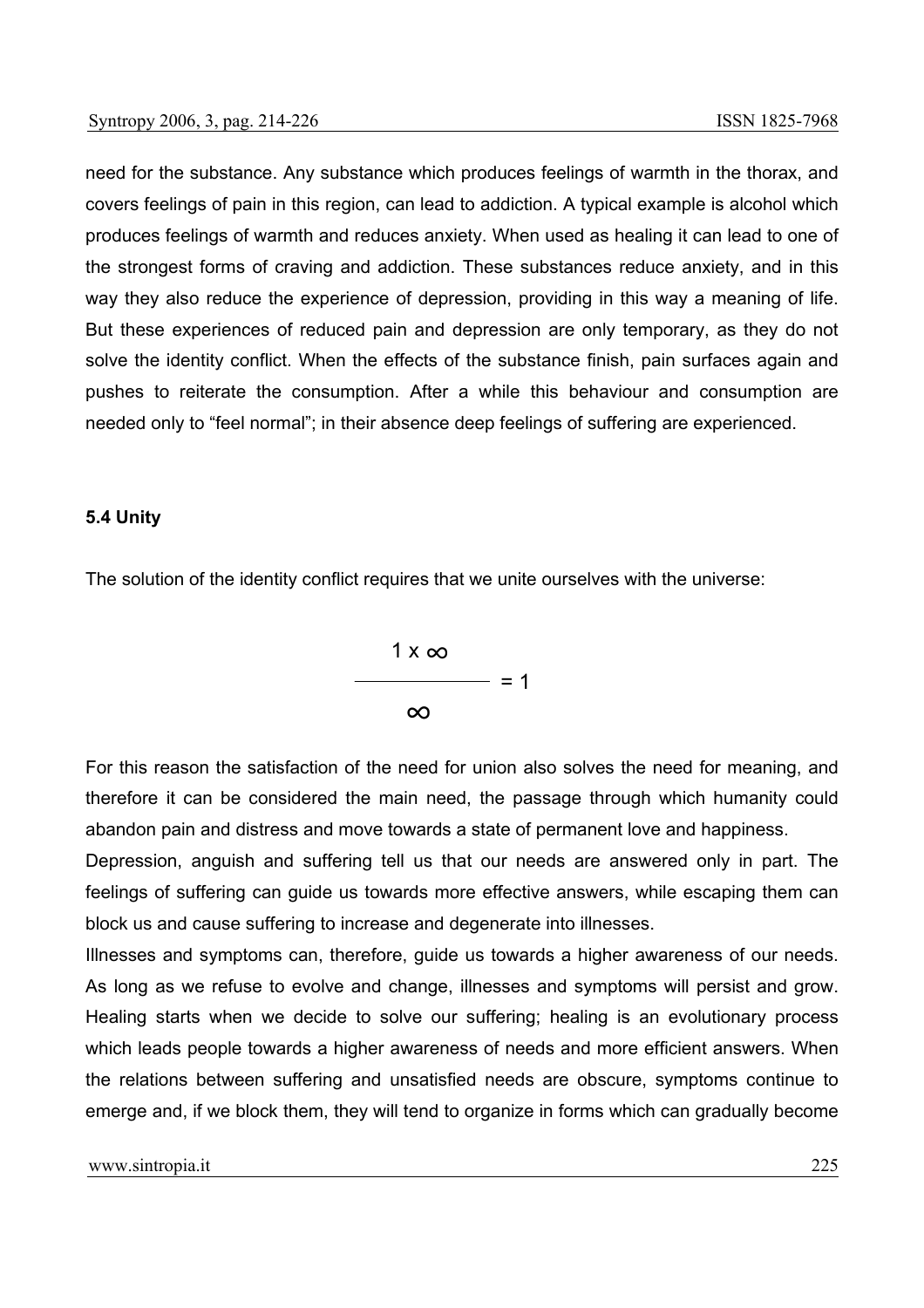need for the substance. Any substance which produces feelings of warmth in the thorax, and covers feelings of pain in this region, can lead to addiction. A typical example is alcohol which produces feelings of warmth and reduces anxiety. When used as healing it can lead to one of the strongest forms of craving and addiction. These substances reduce anxiety, and in this way they also reduce the experience of depression, providing in this way a meaning of life. But these experiences of reduced pain and depression are only temporary, as they do not solve the identity conflict. When the effects of the substance finish, pain surfaces again and pushes to reiterate the consumption. After a while this behaviour and consumption are needed only to "feel normal"; in their absence deep feelings of suffering are experienced.

#### **5.4 Unity**

The solution of the identity conflict requires that we unite ourselves with the universe:



For this reason the satisfaction of the need for union also solves the need for meaning, and therefore it can be considered the main need, the passage through which humanity could abandon pain and distress and move towards a state of permanent love and happiness.

Depression, anguish and suffering tell us that our needs are answered only in part. The feelings of suffering can guide us towards more effective answers, while escaping them can block us and cause suffering to increase and degenerate into illnesses.

Illnesses and symptoms can, therefore, guide us towards a higher awareness of our needs. As long as we refuse to evolve and change, illnesses and symptoms will persist and grow. Healing starts when we decide to solve our suffering; healing is an evolutionary process which leads people towards a higher awareness of needs and more efficient answers. When the relations between suffering and unsatisfied needs are obscure, symptoms continue to emerge and, if we block them, they will tend to organize in forms which can gradually become